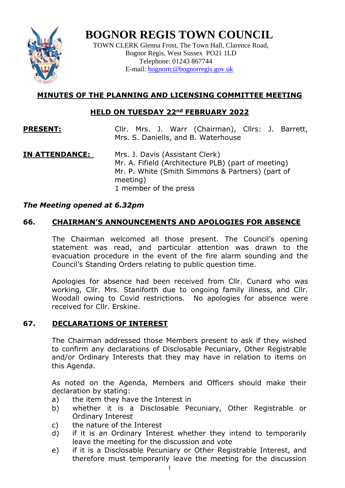

# **BOGNOR REGIS TOWN COUNCIL**

TOWN CLERK Glenna Frost, The Town Hall, Clarence Road, Bognor Regis, West Sussex PO21 1LD Telephone: 01243 867744 E-mail: **bognortc@bognorregis.gov.uk** 

# **MINUTES OF THE PLANNING AND LICENSING COMMITTEE MEETING**

# **HELD ON TUESDAY 22nd FEBRUARY 2022**

- **PRESENT:** Cllr. Mrs. J. Warr (Chairman), Cllrs: J. Barrett, Mrs. S. Daniells, and B. Waterhouse
- **IN ATTENDANCE:** Mrs. J. Davis (Assistant Clerk) Mr. A. Fifield (Architecture PLB) (part of meeting) Mr. P. White (Smith Simmons & Partners) (part of meeting) 1 member of the press

# *The Meeting opened at 6.32pm*

# **66. CHAIRMAN'S ANNOUNCEMENTS AND APOLOGIES FOR ABSENCE**

The Chairman welcomed all those present. The Council's opening statement was read, and particular attention was drawn to the evacuation procedure in the event of the fire alarm sounding and the Council's Standing Orders relating to public question time.

Apologies for absence had been received from Cllr. Cunard who was working, Cllr. Mrs. Staniforth due to ongoing family illness, and Cllr. Woodall owing to Covid restrictions. No apologies for absence were received for Cllr. Erskine.

## **67. DECLARATIONS OF INTEREST**

The Chairman addressed those Members present to ask if they wished to confirm any declarations of Disclosable Pecuniary, Other Registrable and/or Ordinary Interests that they may have in relation to items on this Agenda.

As noted on the Agenda, Members and Officers should make their declaration by stating:

- a) the item they have the Interest in
- b) whether it is a Disclosable Pecuniary, Other Registrable or Ordinary Interest
- c) the nature of the Interest
- d) if it is an Ordinary Interest whether they intend to temporarily leave the meeting for the discussion and vote
- e) if it is a Disclosable Pecuniary or Other Registrable Interest, and therefore must temporarily leave the meeting for the discussion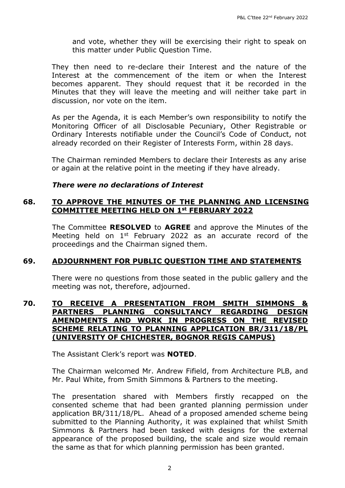and vote, whether they will be exercising their right to speak on this matter under Public Question Time.

They then need to re-declare their Interest and the nature of the Interest at the commencement of the item or when the Interest becomes apparent. They should request that it be recorded in the Minutes that they will leave the meeting and will neither take part in discussion, nor vote on the item.

As per the Agenda, it is each Member's own responsibility to notify the Monitoring Officer of all Disclosable Pecuniary, Other Registrable or Ordinary Interests notifiable under the Council's Code of Conduct, not already recorded on their Register of Interests Form, within 28 days.

The Chairman reminded Members to declare their Interests as any arise or again at the relative point in the meeting if they have already.

#### *There were no declarations of Interest*

#### **68. TO APPROVE THE MINUTES OF THE PLANNING AND LICENSING COMMITTEE MEETING HELD ON 1st FEBRUARY 2022**

The Committee **RESOLVED** to **AGREE** and approve the Minutes of the Meeting held on 1<sup>st</sup> February 2022 as an accurate record of the proceedings and the Chairman signed them.

#### **69. ADJOURNMENT FOR PUBLIC QUESTION TIME AND STATEMENTS**

There were no questions from those seated in the public gallery and the meeting was not, therefore, adjourned.

#### **70. TO RECEIVE A PRESENTATION FROM SMITH SIMMONS & PARTNERS PLANNING CONSULTANCY REGARDING DESIGN AMENDMENTS AND WORK IN PROGRESS ON THE REVISED SCHEME RELATING TO PLANNING APPLICATION BR/311/18/PL (UNIVERSITY OF CHICHESTER, BOGNOR REGIS CAMPUS)**

The Assistant Clerk's report was **NOTED**.

The Chairman welcomed Mr. Andrew Fifield, from Architecture PLB, and Mr. Paul White, from Smith Simmons & Partners to the meeting.

The presentation shared with Members firstly recapped on the consented scheme that had been granted planning permission under application BR/311/18/PL. Ahead of a proposed amended scheme being submitted to the Planning Authority, it was explained that whilst Smith Simmons & Partners had been tasked with designs for the external appearance of the proposed building, the scale and size would remain the same as that for which planning permission has been granted.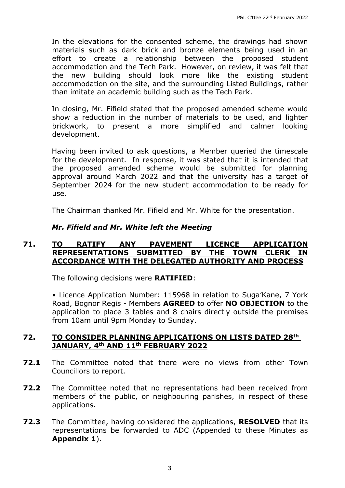In the elevations for the consented scheme, the drawings had shown materials such as dark brick and bronze elements being used in an effort to create a relationship between the proposed student accommodation and the Tech Park. However, on review, it was felt that the new building should look more like the existing student accommodation on the site, and the surrounding Listed Buildings, rather than imitate an academic building such as the Tech Park.

In closing, Mr. Fifield stated that the proposed amended scheme would show a reduction in the number of materials to be used, and lighter brickwork, to present a more simplified and calmer looking development.

Having been invited to ask questions, a Member queried the timescale for the development. In response, it was stated that it is intended that the proposed amended scheme would be submitted for planning approval around March 2022 and that the university has a target of September 2024 for the new student accommodation to be ready for use.

The Chairman thanked Mr. Fifield and Mr. White for the presentation.

#### *Mr. Fifield and Mr. White left the Meeting*

#### **71. TO RATIFY ANY PAVEMENT LICENCE APPLICATION REPRESENTATIONS SUBMITTED BY THE TOWN CLERK IN ACCORDANCE WITH THE DELEGATED AUTHORITY AND PROCESS**

The following decisions were **RATIFIED**:

• Licence Application Number: 115968 in relation to Suga'Kane, 7 York Road, Bognor Regis - Members **AGREED** to offer **NO OBJECTION** to the application to place 3 tables and 8 chairs directly outside the premises from 10am until 9pm Monday to Sunday.

#### **72. TO CONSIDER PLANNING APPLICATIONS ON LISTS DATED 28th JANUARY, 4th AND 11th FEBRUARY 2022**

- **72.1** The Committee noted that there were no views from other Town Councillors to report.
- **72.2** The Committee noted that no representations had been received from members of the public, or neighbouring parishes, in respect of these applications.
- **72.3** The Committee, having considered the applications, **RESOLVED** that its representations be forwarded to ADC (Appended to these Minutes as **Appendix 1**).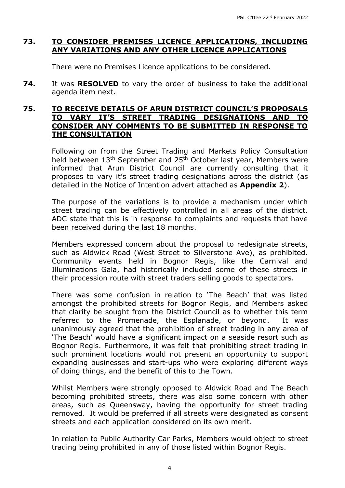### **73. TO CONSIDER PREMISES LICENCE APPLICATIONS, INCLUDING ANY VARIATIONS AND ANY OTHER LICENCE APPLICATIONS**

There were no Premises Licence applications to be considered.

**74.** It was **RESOLVED** to vary the order of business to take the additional agenda item next.

#### **75. TO RECEIVE DETAILS OF ARUN DISTRICT COUNCIL'S PROPOSALS TO VARY IT'S STREET TRADING DESIGNATIONS AND TO CONSIDER ANY COMMENTS TO BE SUBMITTED IN RESPONSE TO THE CONSULTATION**

Following on from the Street Trading and Markets Policy Consultation held between 13<sup>th</sup> September and 25<sup>th</sup> October last year, Members were informed that Arun District Council are currently consulting that it proposes to vary it's street trading designations across the district (as detailed in the Notice of Intention advert attached as **Appendix 2**).

The purpose of the variations is to provide a mechanism under which street trading can be effectively controlled in all areas of the district. ADC state that this is in response to complaints and requests that have been received during the last 18 months.

Members expressed concern about the proposal to redesignate streets, such as Aldwick Road (West Street to Silverstone Ave), as prohibited. Community events held in Bognor Regis, like the Carnival and Illuminations Gala, had historically included some of these streets in their procession route with street traders selling goods to spectators.

There was some confusion in relation to 'The Beach' that was listed amongst the prohibited streets for Bognor Regis, and Members asked that clarity be sought from the District Council as to whether this term referred to the Promenade, the Esplanade, or beyond. It was unanimously agreed that the prohibition of street trading in any area of 'The Beach' would have a significant impact on a seaside resort such as Bognor Regis. Furthermore, it was felt that prohibiting street trading in such prominent locations would not present an opportunity to support expanding businesses and start-ups who were exploring different ways of doing things, and the benefit of this to the Town.

Whilst Members were strongly opposed to Aldwick Road and The Beach becoming prohibited streets, there was also some concern with other areas, such as Queensway, having the opportunity for street trading removed. It would be preferred if all streets were designated as consent streets and each application considered on its own merit.

In relation to Public Authority Car Parks, Members would object to street trading being prohibited in any of those listed within Bognor Regis.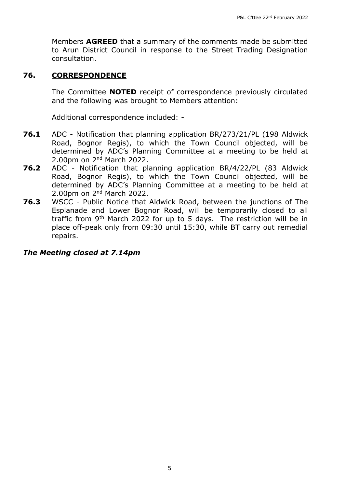Members **AGREED** that a summary of the comments made be submitted to Arun District Council in response to the Street Trading Designation consultation.

#### **76. CORRESPONDENCE**

The Committee **NOTED** receipt of correspondence previously circulated and the following was brought to Members attention:

Additional correspondence included: -

- **76.1** ADC Notification that planning application BR/273/21/PL (198 Aldwick Road, Bognor Regis), to which the Town Council objected, will be determined by ADC's Planning Committee at a meeting to be held at 2.00pm on 2nd March 2022.
- **76.2** ADC Notification that planning application BR/4/22/PL (83 Aldwick Road, Bognor Regis), to which the Town Council objected, will be determined by ADC's Planning Committee at a meeting to be held at 2.00pm on 2nd March 2022.
- **76.3** WSCC Public Notice that Aldwick Road, between the junctions of The Esplanade and Lower Bognor Road, will be temporarily closed to all traffic from  $9<sup>th</sup>$  March 2022 for up to 5 days. The restriction will be in place off-peak only from 09:30 until 15:30, while BT carry out remedial repairs.

#### *The Meeting closed at 7.14pm*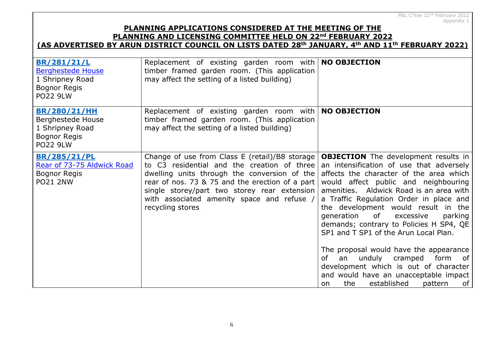# **PLANNING APPLICATIONS CONSIDERED AT THE MEETING OF THE PLANNING AND LICENSING COMMITTEE HELD ON 22nd FEBRUARY 2022**

# **(AS ADVERTISED BY ARUN DISTRICT COUNCIL ON LISTS DATED 28th JANUARY, 4th AND 11th FEBRUARY 2022)**

| BR/281/21/L<br><b>Berghestede House</b><br>1 Shripney Road<br>Bognor Regis<br><b>PO22 9LW</b>  | Replacement of existing garden room with   NO OBJECTION<br>timber framed garden room. (This application<br>may affect the setting of a listed building)                                                                                                                                                            |                                                                                                                                                                                                                                                                                                                                                                                                                                                                                                                                                                                                                                                         |
|------------------------------------------------------------------------------------------------|--------------------------------------------------------------------------------------------------------------------------------------------------------------------------------------------------------------------------------------------------------------------------------------------------------------------|---------------------------------------------------------------------------------------------------------------------------------------------------------------------------------------------------------------------------------------------------------------------------------------------------------------------------------------------------------------------------------------------------------------------------------------------------------------------------------------------------------------------------------------------------------------------------------------------------------------------------------------------------------|
| <b>BR/280/21/HH</b><br>Berghestede House<br>1 Shripney Road<br>Bognor Regis<br><b>PO22 9LW</b> | Replacement of existing garden room with<br>timber framed garden room. (This application<br>may affect the setting of a listed building)                                                                                                                                                                           | <b>NO OBJECTION</b>                                                                                                                                                                                                                                                                                                                                                                                                                                                                                                                                                                                                                                     |
| <b>BR/285/21/PL</b><br>Rear of 73-75 Aldwick Road<br>Bognor Regis<br><b>PO21 2NW</b>           | Change of use from Class E (retail)/B8 storage<br>to C3 residential and the creation of three<br>dwelling units through the conversion of the<br>rear of nos. 73 & 75 and the erection of a part<br>single storey/part two storey rear extension<br>with associated amenity space and refuse /<br>recycling stores | <b>OBJECTION</b> The development results in<br>an intensification of use that adversely<br>affects the character of the area which<br>would affect public and neighbouring<br>amenities. Aldwick Road is an area with<br>a Traffic Regulation Order in place and<br>the development would result in the<br>generation<br>of<br>excessive<br>parking<br>demands; contrary to Policies H SP4, QE<br>SP1 and T SP1 of the Arun Local Plan.<br>The proposal would have the appearance<br>an unduly cramped form<br>of<br>of<br>development which is out of character<br>and would have an unacceptable impact<br>established<br>the<br>pattern<br>of<br>on. |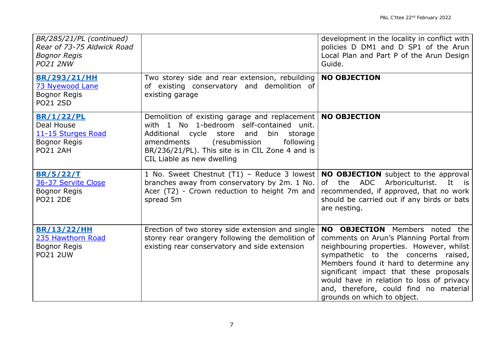| BR/285/21/PL (continued)<br>Rear of 73-75 Aldwick Road<br><b>Bognor Regis</b><br><b>PO21 2NW</b> |                                                                                                                                                                                                                                                                                           | development in the locality in conflict with<br>policies D DM1 and D SP1 of the Arun<br>Local Plan and Part P of the Arun Design<br>Guide.                                                                                                                                                                                                                                     |
|--------------------------------------------------------------------------------------------------|-------------------------------------------------------------------------------------------------------------------------------------------------------------------------------------------------------------------------------------------------------------------------------------------|--------------------------------------------------------------------------------------------------------------------------------------------------------------------------------------------------------------------------------------------------------------------------------------------------------------------------------------------------------------------------------|
| <b>BR/293/21/HH</b><br>73 Nyewood Lane<br><b>Bognor Regis</b><br><b>PO21 2SD</b>                 | Two storey side and rear extension, rebuilding<br>of existing conservatory and demolition of<br>existing garage                                                                                                                                                                           | <b>NO OBJECTION</b>                                                                                                                                                                                                                                                                                                                                                            |
| <b>BR/1/22/PL</b><br>Deal House<br>11-15 Sturges Road<br><b>Bognor Regis</b><br><b>PO21 2AH</b>  | Demolition of existing garage and replacement   NO OBJECTION<br>with 1 No 1-bedroom self-contained unit.<br>Additional cycle store<br>and<br>bin<br>storage<br>following<br>amendments<br>(resubmission<br>BR/236/21/PL). This site is in CIL Zone 4 and is<br>CIL Liable as new dwelling |                                                                                                                                                                                                                                                                                                                                                                                |
| <b>BR/5/22/T</b><br>36-37 Servite Close<br><b>Bognor Regis</b><br><b>PO21 2DE</b>                | 1 No. Sweet Chestnut (T1) – Reduce 3 lowest   NO OBJECTION subject to the approval<br>branches away from conservatory by 2m. 1 No.<br>Acer (T2) - Crown reduction to height 7m and<br>spread 5m                                                                                           | ADC<br>Arboriculturist.<br>the<br>It<br>of<br>is is<br>recommended, if approved, that no work<br>should be carried out if any birds or bats<br>are nesting.                                                                                                                                                                                                                    |
| <b>BR/13/22/HH</b><br>235 Hawthorn Road<br><b>Bognor Regis</b><br><b>PO21 2UW</b>                | Erection of two storey side extension and single<br>storey rear orangery following the demolition of<br>existing rear conservatory and side extension                                                                                                                                     | <b>NO OBJECTION</b> Members noted the<br>comments on Arun's Planning Portal from<br>neighbouring properties. However, whilst<br>sympathetic to the concerns raised,<br>Members found it hard to determine any<br>significant impact that these proposals<br>would have in relation to loss of privacy<br>and, therefore, could find no material<br>grounds on which to object. |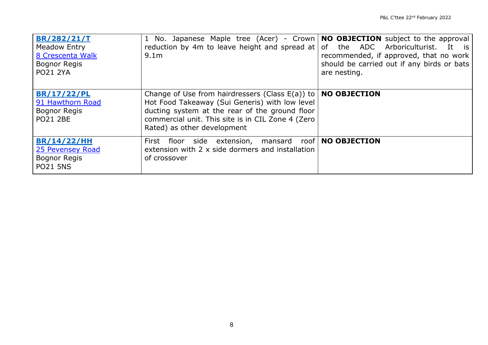| BR/282/21/T<br>Meadow Entry<br>8 Crescenta Walk<br><b>Bognor Regis</b><br><b>PO21 2YA</b> | 1 No. Japanese Maple tree (Acer) - Crown   NO OBJECTION subject to the approval<br>reduction by 4m to leave height and spread at $\sigma$ of the ADC Arboriculturist.<br>9.1 <sub>m</sub>                                                                        | It is<br>recommended, if approved, that no work<br>should be carried out if any birds or bats<br>are nesting. |
|-------------------------------------------------------------------------------------------|------------------------------------------------------------------------------------------------------------------------------------------------------------------------------------------------------------------------------------------------------------------|---------------------------------------------------------------------------------------------------------------|
| <b>BR/17/22/PL</b><br>91 Hawthorn Road<br><b>Bognor Regis</b><br><b>PO21 2BE</b>          | Change of Use from hairdressers (Class $E(a)$ ) to   <b>NO OBJECTION</b><br>Hot Food Takeaway (Sui Generis) with low level<br>ducting system at the rear of the ground floor<br>commercial unit. This site is in CIL Zone 4 (Zero<br>Rated) as other development |                                                                                                               |
| <b>BR/14/22/HH</b><br>25 Pevensey Road<br><b>Bognor Regis</b><br><b>PO21 5NS</b>          | First floor side extension, mansard roof   NO OBJECTION<br>extension with 2 x side dormers and installation<br>of crossover                                                                                                                                      |                                                                                                               |